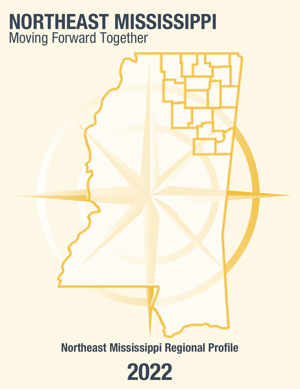## **NORTHEAST MISSISSIPPI** Moving Forward Together

**Northeast Mississippi Regional Profile**

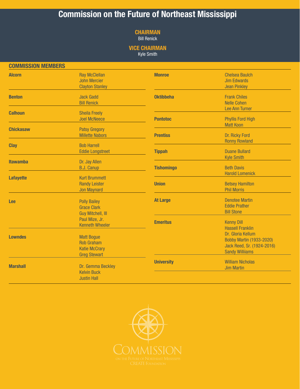### **Commission on the Future of Northeast Mississippi**

#### **CHAIRMAN**

Bill Renick

#### **VICE CHAIRMAN**

Kyle Smith

| <b>COMMISSION MEMBERS</b>                |                                                                                       |                   |                                                                                                              |
|------------------------------------------|---------------------------------------------------------------------------------------|-------------------|--------------------------------------------------------------------------------------------------------------|
| <b>Alcorn</b>                            | <b>Ray McClellan</b><br><b>John Mercier</b><br><b>Clayton Stanley</b>                 | <b>Monroe</b>     | <b>Chelsea Baulch</b><br><b>Jim Edwards</b><br><b>Jean Pinkley</b>                                           |
| <b>Benton</b>                            | <b>Jack Gadd</b><br><b>Bill Renick</b>                                                | <b>Oktibbeha</b>  | <b>Frank Chiles</b><br><b>Nelle Cohen</b><br><b>Lee Ann Turner</b>                                           |
| <b>Calhoun</b>                           | <b>Sheila Freely</b><br><b>Joel McNeece</b>                                           | <b>Pontotoc</b>   | <b>Phyllis Ford High</b><br><b>Matt Koon</b>                                                                 |
| <b>Chickasaw</b>                         | <b>Patsy Gregory</b><br><b>Millette Nabors</b>                                        | <b>Prentiss</b>   | Dr. Ricky Ford<br><b>Ronny Rowland</b>                                                                       |
| <b>Clay</b>                              | <b>Bob Harrell</b><br><b>Eddie Longstreet</b>                                         | <b>Tippah</b>     | <b>Duane Bullard</b><br><b>Kyle Smith</b>                                                                    |
| <b>Itawamba</b>                          | Dr. Jay Allen<br><b>B.J. Canup</b>                                                    | <b>Tishomingo</b> | <b>Beth Davis</b><br><b>Harold Lomenick</b>                                                                  |
| <b>Lafayette</b>                         | <b>Kurt Brummett</b><br><b>Randy Leister</b><br><b>Jon Maynard</b>                    | <b>Union</b>      | <b>Betsey Hamilton</b><br><b>Phil Morris</b>                                                                 |
| <b>Lee</b>                               | <b>Polly Bailey</b><br><b>Grace Clark</b><br><b>Guy Mitchell, Ill</b>                 | <b>At Large</b>   | <b>Denotee Martin</b><br><b>Eddie Prather</b><br><b>Bill Stone</b>                                           |
| Paul Mize, Jr.<br><b>Kenneth Wheeler</b> |                                                                                       | <b>Emeritus</b>   | <b>Kenny Dill</b><br><b>Hassell Franklin</b>                                                                 |
| <b>Lowndes</b>                           | <b>Matt Bogue</b><br><b>Rob Graham</b><br><b>Katie McCrary</b><br><b>Greg Stewart</b> |                   | Dr. Gloria Kellum<br><b>Bobby Martin (1933-2020)</b><br>Jack Reed, Sr. (1924-2016)<br><b>Sandy Williiams</b> |
| <b>Marshall</b>                          | Dr. Gemma Beckley<br><b>Kelvin Buck</b><br><b>Justin Hall</b>                         | <b>University</b> | <b>William Nicholas</b><br><b>Jim Martin</b>                                                                 |

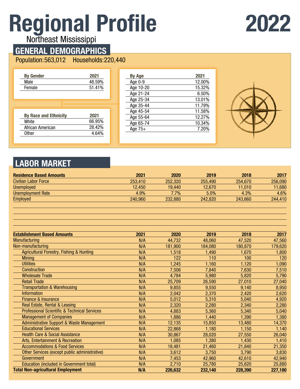# **Regional Profile**

## **2022**

Northeast Mississippi

### **GENERAL DEMOGRAPHICS**

Population: 563,012 Households: 220,440

| <b>By Gender</b>                      | 2021   |
|---------------------------------------|--------|
| Male                                  | 48.59% |
| Female                                | 51.41% |
|                                       |        |
|                                       |        |
|                                       |        |
|                                       |        |
|                                       | 2021   |
| <b>By Race and Ethnicity</b><br>White | 66.95% |
| African American                      | 28.42% |

| <b>By Age</b> | 2021   |
|---------------|--------|
| Age 0-9       | 12.00% |
| Age 10-20     | 15.32% |
| Age 21-24     | 6.50%  |
| Age 25-34     | 13.01% |
| Age 35-44     | 11.79% |
| Age 45-54     | 11.58% |
| Age 55-64     | 12.27% |
| Age 65-74     | 10.34% |
| Age 75+       | 7.20%  |
|               |        |



### **LABOR MARKET**

| <b>Residence Based Amounts</b> | 2021    | 2020    | 2019    | 2018    | 2017    |
|--------------------------------|---------|---------|---------|---------|---------|
| <b>Civilian Labor Force</b>    | 253.410 | 252,320 | 255.490 | 254.670 | 256,090 |
| <b>Unemployed</b>              | 12.450  | 19.440  | 12.670  | 11.010  | 11,680  |
| <b>Unemployment Rate</b>       | 4.9%    | $7.7\%$ | 5.0%    | 4.3%    | 4.6%    |
| <b>Employed</b>                | 240.960 | 232,880 | 242.820 | 243.660 | 244,410 |
|                                |         |         |         |         |         |

| <b>Establishment Based Amounts</b>                      | 2021 | 2020    | 2019    | 2018    | 2017    |
|---------------------------------------------------------|------|---------|---------|---------|---------|
| <b>Manufacturing</b>                                    | N/A  | 44,732  | 48,060  | 47,520  | 47,560  |
| Non-manufacturing                                       | N/A  | 181,900 | 184,080 | 180,870 | 179,620 |
| <b>Agricultural Forestry, Fishing &amp; Hunting</b>     | N/A  | 1,518   | 1,490   | 1,670   | 1,800   |
| <b>Mining</b>                                           | N/A  | 122     | 110     | 100     | 120     |
| <b>Utilities</b>                                        | N/A  | 1,245   | 1,160   | 1,120   | 1,090   |
| Construction                                            | N/A  | 7,506   | 7,840   | 7,630   | 7,510   |
| <b>Wholesale Trade</b>                                  | N/A  | 4,784   | 5,980   | 5,820   | 5,790   |
| <b>Retail Trade</b>                                     | N/A  | 25,709  | 26,590  | 27,010  | 27,040  |
| <b>Transportation &amp; Warehousing</b>                 | N/A  | 9,855   | 9,550   | 9,140   | 8,950   |
| <b>Information</b>                                      | N/A  | 2,042   | 2,370   | 2,420   | 2,620   |
| Finance & Insurance                                     | N/A  | 5,012   | 5,310   | 5,040   | 4,920   |
| Real Estate, Rental & Leasing                           | N/A  | 2,320   | 2,280   | 2,340   | 2,280   |
| <b>Professional Scientific &amp; Technical Services</b> | N/A  | 4,883   | 5,360   | 5,340   | 5,040   |
| <b>Management of Companies</b>                          | N/A  | 1,886   | 1,440   | 1,390   | 1,380   |
| <b>Administrative Support &amp; Waste Management</b>    | N/A  | 12,135  | 15,850  | 13,480  | 14,370  |
| <b>Educational Services</b>                             | N/A  | 22,868  | 1,180   | 1.150   | 1,140   |
| <b>Health Care &amp; Social Assistance</b>              | N/A  | 30,867  | 28,020  | 27,550  | 26,040  |
| Arts, Entertainment & Recreation                        | N/A  | 1,085   | 1,380   | 1,430   | 1,410   |
| <b>Accommodations &amp; Food Services</b>               | N/A  | 18,481  | 21,460  | 21,840  | 21,350  |
| Other Services (except public administrative)           | N/A  | 3,612   | 3,750   | 3,790   | 3,830   |
| Government                                              | N/A  | 7,453   | 42,960  | 42,610  | 42,940  |
| <b>Education (included in Government total)</b>         | N/A  | 2,710   | 25,780  | 25,620  | 25,880  |
| <b>Total Non-agricultural Employment</b>                | N/A  | 226,632 | 232,140 | 228,390 | 227,180 |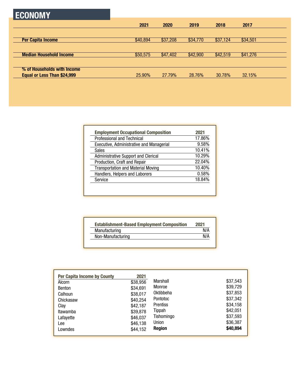| <b>ECONOMY</b>                 |          |          |          |          |          |  |
|--------------------------------|----------|----------|----------|----------|----------|--|
|                                | 2021     | 2020     | 2019     | 2018     | 2017     |  |
| <b>Per Capita Income</b>       | \$40,894 | \$37,208 | \$34,770 | \$37,124 | \$34,501 |  |
|                                |          |          |          |          |          |  |
| <b>Median Household Income</b> | \$50,575 | \$47,402 | \$42,900 | \$42,519 | \$41,276 |  |
| % of Households with Income    |          |          |          |          |          |  |
| Equal or Less Than \$24,999    | 25.90%   | 27.79%   | 28.76%   | 30.78%   | 32.15%   |  |
|                                |          |          |          |          |          |  |

| <b>Employment Occupational Composition</b> | 2021   |
|--------------------------------------------|--------|
| <b>Professional and Technical</b>          | 17.86% |
| Executive, Administrative and Managerial   | 9.58%  |
| Sales                                      | 10.41% |
| <b>Administrative Support and Clerical</b> | 10.29% |
| Production, Craft and Repair               | 22.04% |
| <b>Transportation and Material Moving</b>  | 10.40% |
| Handlers, Helpers and Laborers             | 0.58%  |
| Service                                    | 18.84% |

| <b>Establishment-Based Employment Composition</b> | 2021 |
|---------------------------------------------------|------|
| Manufacturing                                     | N/A  |
| Non-Manufacturing                                 | N/A  |

| <b>Per Capita Income by County</b><br>Alcorn<br>Benton<br>Calhoun<br>Chickasaw<br>Clay | 2021<br>\$38,956<br>\$34,691<br>\$38,017<br>\$40,254<br>\$42,187 | Marshall<br>Monroe<br>Oktibbeha<br><b>Pontotoc</b><br><b>Prentiss</b> | \$37,543<br>\$39,729<br>\$37,853<br>\$37,342<br>\$34,158 |
|----------------------------------------------------------------------------------------|------------------------------------------------------------------|-----------------------------------------------------------------------|----------------------------------------------------------|
|                                                                                        |                                                                  |                                                                       |                                                          |
|                                                                                        |                                                                  |                                                                       |                                                          |
|                                                                                        |                                                                  |                                                                       |                                                          |
|                                                                                        |                                                                  | Tippah                                                                | \$42,051                                                 |
| Itawamba                                                                               | \$39,878                                                         |                                                                       |                                                          |
| Lafayette                                                                              | \$46,037                                                         | Tishomingo                                                            | \$37,593                                                 |
| Lee                                                                                    | \$46,138                                                         | Union                                                                 | \$36,387                                                 |
| Lowndes                                                                                | \$44,152                                                         | <b>Region</b>                                                         | \$40,894                                                 |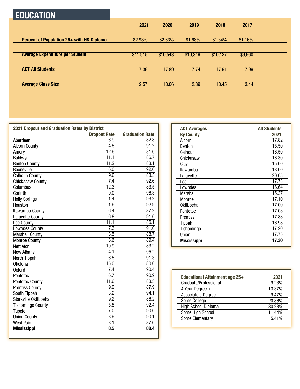### **EDUCATION**

|                                           | 2021     | 2020     | 2019     | 2018     | 2017    |  |
|-------------------------------------------|----------|----------|----------|----------|---------|--|
|                                           |          |          |          |          |         |  |
| Percent of Population 25+ with HS Diploma | 82.93%   | 82.63%   | 81.68%   | 81.34%   | 81.16%  |  |
|                                           |          |          |          |          |         |  |
| <b>Average Expenditure per Student</b>    | \$11,915 | \$10,543 | \$10,349 | \$10,127 | \$9,960 |  |
|                                           |          |          |          |          |         |  |
| <b>ACT All Students</b>                   | 17.36    | 17.89    | 17.74    | 17.91    | 17.99   |  |
|                                           |          |          |          |          |         |  |
| <b>Average Class Size</b>                 | 12.57    | 13.06    | 12.89    | 13.45    | 13.44   |  |

| 2021 Dropout and Graduation Rates by District |                     |                        |  |  |  |
|-----------------------------------------------|---------------------|------------------------|--|--|--|
|                                               | <b>Dropout Rate</b> | <b>Graduation Rate</b> |  |  |  |
| Aberdeen                                      | 6.9                 | 82.8                   |  |  |  |
| <b>Alcorn County</b>                          | $\overline{4.8}$    | $\overline{91.2}$      |  |  |  |
| Amory                                         | 12.6                | 81.6                   |  |  |  |
| Baldwyn                                       | 11.1                | 86.7                   |  |  |  |
| <b>Benton County</b>                          | 11.2                | 83.1                   |  |  |  |
| <b>Booneville</b>                             | 6.0                 | $\overline{92.0}$      |  |  |  |
| <b>Calhoun County</b>                         | 9.6                 | 88.5                   |  |  |  |
| <b>Chickasaw County</b>                       | $\overline{7.4}$    | 92.6                   |  |  |  |
| Columbus                                      | 12.3                | 83.5                   |  |  |  |
| Corinth                                       | 0.0                 | 96.3                   |  |  |  |
| <b>Holly Springs</b>                          | 1.4                 | 93.2                   |  |  |  |
| Houston                                       | $\overline{1.6}$    | 92.9                   |  |  |  |
| Itawamba County                               | 6.4                 | 87.2                   |  |  |  |
| Lafayette County                              | 6.8                 | 91.0                   |  |  |  |
| Lee County                                    | 11.1                | 86.1                   |  |  |  |
| <b>Lowndes County</b>                         | $\overline{7.3}$    | 91.0                   |  |  |  |
| <b>Marshall County</b>                        | 8.5                 | 88.7                   |  |  |  |
| <b>Monroe County</b>                          | 8.6                 | 89.4                   |  |  |  |
| Nettleton                                     | 10.9                | 83.2                   |  |  |  |
| New Albany                                    | 4.1                 | 95.2                   |  |  |  |
| North Tippah                                  | 6.5                 | $\overline{91.3}$      |  |  |  |
| <b>Okolona</b>                                | 15.0                | 80.0                   |  |  |  |
| <b>Oxford</b>                                 | $\overline{7.4}$    | 90.4                   |  |  |  |
| Pontotoc                                      | 6.7                 | 90.9                   |  |  |  |
| <b>Pontotoc County</b>                        | 11.6                | 83.3                   |  |  |  |
| <b>Prentiss County</b>                        | 9.9                 | 87.9                   |  |  |  |
| South Tippah                                  | $\overline{3.2}$    | 94.1                   |  |  |  |
| Starkville Oktibbeha                          | $\overline{9.2}$    | 86.2                   |  |  |  |
| <b>Tishomingo County</b>                      | 5.5                 | 92.4                   |  |  |  |
| Tupelo                                        | 7.0                 | 90.0                   |  |  |  |
| <b>Union County</b>                           | 8.9                 | 90.1                   |  |  |  |
| <b>West Point</b>                             | $\overline{8.1}$    | 87.6                   |  |  |  |
| <b>Mississippi</b>                            | 8.5                 | 88.4                   |  |  |  |

| <b>ACT Averages</b> | <b>All Students</b> |
|---------------------|---------------------|
| <b>By County</b>    | 2021                |
| Alcorn              | 17.82               |
| <b>Benton</b>       | 15.50               |
| Calhoun             | 16.50               |
| Chickasaw           | 16.30               |
| Clay                | 15.00               |
| Itawamba            | 18.00               |
| Lafayette           | 20.05               |
| Lee                 | 17.78               |
| Lowndes             | 16.64               |
| Marshall            | 15.37               |
| Monroe              | 17.10               |
| Oktibbeha           | 17.00               |
| Pontotoc            | 17.03               |
| Prentiss            | 17.88               |
| Tippah              | 16.98               |
| Tishomingo          | 17.20               |
| Union               | 17.75               |
| <b>Mississippi</b>  | 17.30               |

| <b>Educational Attainment age 25+</b> | 2021   |
|---------------------------------------|--------|
| Graduate/Professional                 | 9.23%  |
| 4 Year Degree +                       | 13.37% |
| Associate's Degree                    | 9.47%  |
| Some College                          | 20.86% |
| High School Diploma                   | 30.23% |
| Some High School                      | 11.44% |
| Some Elementary                       | 5.41%  |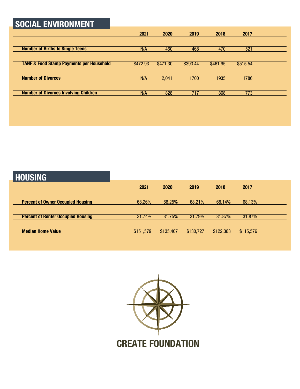### **SOCIAL ENVIRONMENT**

|                                                     | 2021     | 2020     | 2019     | 2018     | 2017     |  |
|-----------------------------------------------------|----------|----------|----------|----------|----------|--|
|                                                     |          |          |          |          |          |  |
| <b>Number of Births to Single Teens</b>             | N/A      | 460      | 468      | 470      | 521      |  |
|                                                     |          |          |          |          |          |  |
| <b>TANF &amp; Food Stamp Payments per Household</b> | \$472.93 | \$471.30 | \$393.44 | \$461.95 | \$515.54 |  |
|                                                     |          |          |          |          |          |  |
| <b>Number of Divorces</b>                           | N/A      | 2.041    | 1700     | 1935     | 1786     |  |
|                                                     |          |          |          |          |          |  |
| <b>Number of Divorces Involving Children</b>        | N/A      | 828      | 717      | 868      | 773      |  |

### **HOUSING**

|                                           | 2021      | 2020      | 2019      | 2018      | 2017      |  |
|-------------------------------------------|-----------|-----------|-----------|-----------|-----------|--|
|                                           |           |           |           |           |           |  |
| <b>Percent of Owner Occupied Housing</b>  | 68.26%    | 68.25%    | 68.21%    | 68.14%    | 68.13%    |  |
|                                           |           |           |           |           |           |  |
| <b>Percent of Renter Occupied Housing</b> | 31.74%    | 31.75%    | 31.79%    | 31.87%    | 31.87%    |  |
|                                           |           |           |           |           |           |  |
| <b>Median Home Value</b>                  | \$151,579 | \$135,407 | \$130,727 | \$122,363 | \$115,576 |  |
|                                           |           |           |           |           |           |  |

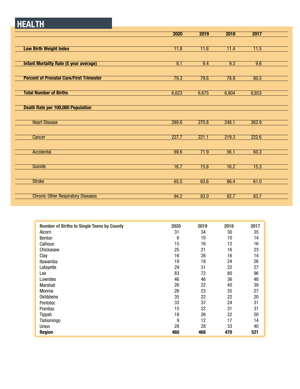### **HEALTH**

|                                                 | 2020  | 2019  | 2018  | 2017  |  |
|-------------------------------------------------|-------|-------|-------|-------|--|
|                                                 |       |       |       |       |  |
| <b>Low Birth Weight Index</b>                   | 11.8  | 11.6  | 11.4  | 11.5  |  |
|                                                 |       |       |       |       |  |
| <b>Infant Mortality Rate (5 year average)</b>   | 9.1   | 9.4   | 9.3   | 9.6   |  |
|                                                 |       |       |       |       |  |
| <b>Percent of Prenatal Care/First Trimester</b> | 79.3  | 79.6  | 78.9  | 80.5  |  |
|                                                 |       |       |       |       |  |
| <b>Total Number of Births</b>                   | 6,623 | 6,675 | 6,804 |       |  |
|                                                 |       |       |       | 6,853 |  |
|                                                 |       |       |       |       |  |
| <b>Death Rate per 100,000 Population</b>        |       |       |       |       |  |
|                                                 |       |       |       |       |  |
| <b>Heart Disease</b>                            | 289.6 | 270.8 | 248.1 | 262.9 |  |
|                                                 |       |       |       |       |  |
| Cancer                                          | 227.7 | 221.1 | 219.3 | 222.6 |  |
|                                                 |       |       |       |       |  |
| <b>Accidental</b>                               | 69.6  | 71.9  | 56.1  | 60.3  |  |
|                                                 |       |       |       |       |  |
| <b>Suicide</b>                                  | 16.7  | 15.6  | 16.2  | 15.3  |  |
|                                                 |       |       |       |       |  |
| <b>Stroke</b>                                   | 65.5  | 63.6  | 66.4  | 61.0  |  |
|                                                 |       |       |       |       |  |
| <b>Chronic Other Respiratory Diseases</b>       | 94.2  | 83.0  | 82.7  | 83.7  |  |
|                                                 |       |       |       |       |  |

| <b>Number of Births to Single Teens by County</b> | 2020            | 2019 | 2018 | 2017 |
|---------------------------------------------------|-----------------|------|------|------|
| Alcorn                                            | 31              | 34   | 30   | 35   |
| <b>Benton</b>                                     | $6\phantom{1}6$ | 10   | 10   | 14   |
| Calhoun                                           | 15              | 16   | 12   | 16   |
| Chickasaw                                         | 25              | 21   | 16   | 23   |
| Clay                                              | 16              | 28   | 16   | 14   |
| <b>Itawamba</b>                                   | 19              | 18   | 24   | 26   |
| Lafayette                                         | 29              | 31   | 22   | 27   |
| Lee                                               | 83              | 72   | 80   | 96   |
| Lowndes                                           | 46              | 46   | 36   | 48   |
| Marshall                                          | 26              | 22   | 40   | 39   |
| Monroe                                            | 26              | 23   | 35   | 27   |
| Oktibbeha                                         | 35              | 22   | 22   | 20   |
| <b>Pontotoc</b>                                   | 33              | 37   | 24   | 31   |
| <b>Prentiss</b>                                   | 15              | 22   | 31   | 31   |
| Tippah                                            | 18              | 26   | 22   | 20   |
| Tishomingo                                        | 9               | 12   | 17   | 14   |
| Union                                             | 28              | 28   | 33   | 40   |
| <b>Region</b>                                     | 460             | 468  | 470  | 521  |